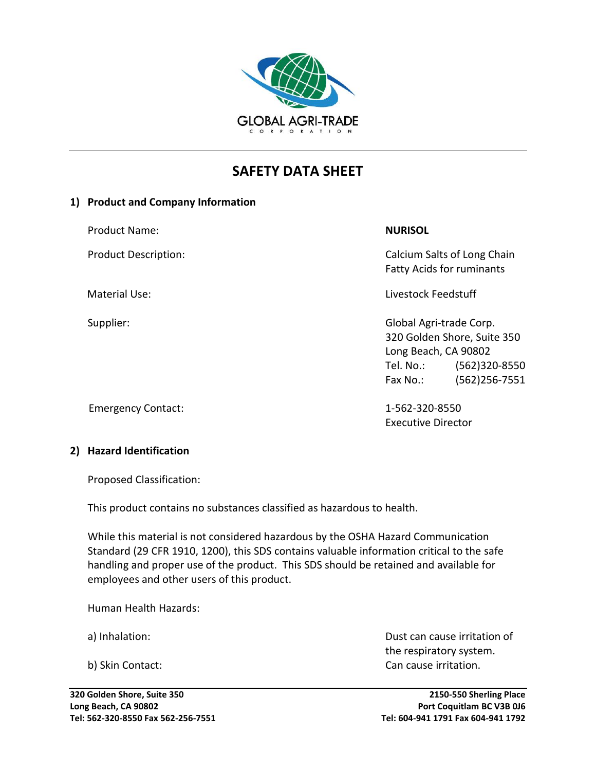

# **SAFETY DATA SHEET**

#### **1) Product and Company Information**

Product Name: **NURISOL**

Product Description: The Calcium Salts of Long Chain Fatty Acids for ruminants

Material Use: Livestock Feedstuff

Supplier: Global Agri-trade Corp. 320 Golden Shore, Suite 350 Long Beach, CA 90802 Tel. No.: (562)320-8550 Fax No.: (562)256-7551

Executive Director

## Emergency Contact: 1-562-320-8550

### **2) Hazard Identification**

Proposed Classification:

This product contains no substances classified as hazardous to health.

While this material is not considered hazardous by the OSHA Hazard Communication Standard (29 CFR 1910, 1200), this SDS contains valuable information critical to the safe handling and proper use of the product. This SDS should be retained and available for employees and other users of this product.

Human Health Hazards:

a) Inhalation: Dust can cause irritation of the respiratory system. b) Skin Contact: Can cause irritation.

**320 Golden Shore, Suite 350 2150-550 Sherling Place Long Beach, CA 90802 Port Coquitlam BC V3B 0J6 Tel: 562-320-8550 Fax 562-256-7551 Tel: 604-941 1791 Fax 604-941 1792**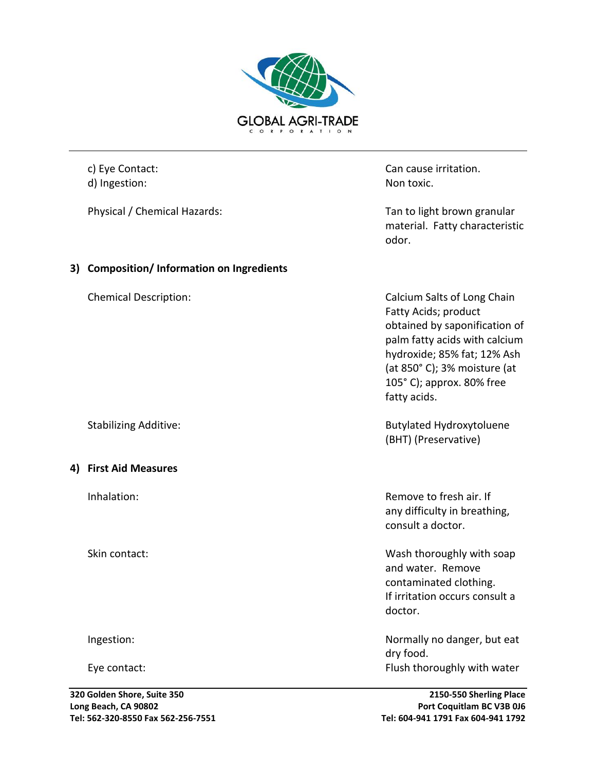

Physical / Chemical Hazards: The matrix of the Tan to light brown granular

**3) Composition/ Information on Ingredients**

#### **4) First Aid Measures**

c) Eye Contact: Can cause irritation. d) Ingestion: Non toxic.

> material. Fatty characteristic odor.

Chemical Description: Calcium Salts of Long Chain Fatty Acids; product obtained by saponification of palm fatty acids with calcium hydroxide; 85% fat; 12% Ash (at 850° C); 3% moisture (at 105° C); approx. 80% free fatty acids.

Stabilizing Additive: Stabilizing Additive: (BHT) (Preservative)

Inhalation: Remove to fresh air. If any difficulty in breathing, consult a doctor.

Skin contact: Wash thoroughly with soap and water. Remove contaminated clothing. If irritation occurs consult a doctor.

Ingestion: Normally no danger, but eat dry food. Eye contact: Flush thoroughly with water in the state of the Flush thoroughly with water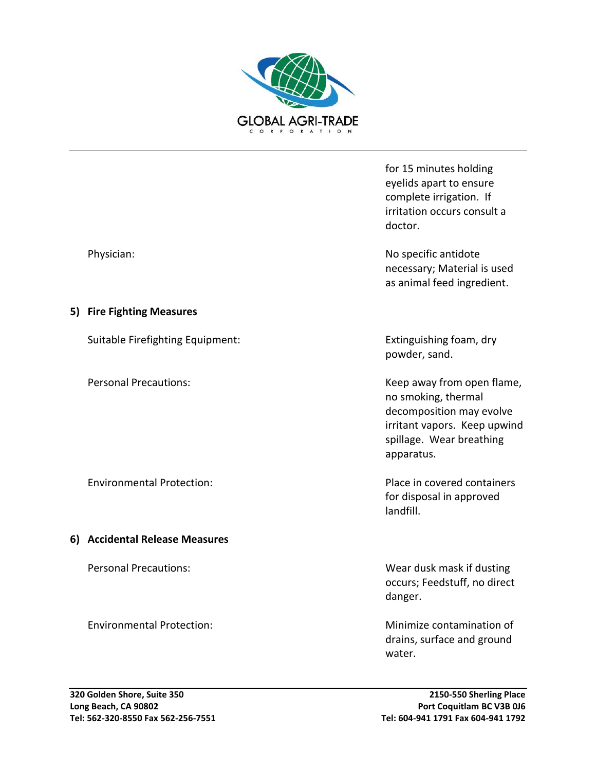

for 15 minutes holding eyelids apart to ensure complete irrigation. If irritation occurs consult a doctor.

Physician: No specific antidote and the physician: No specific antidote antidote and the physician:  $\sim$  No specific antidote necessary; Material is used as animal feed ingredient.

powder, sand.

Personal Precautions: The contraction of the Mateur Meep away from open flame, no smoking, thermal decomposition may evolve irritant vapors. Keep upwind spillage. Wear breathing apparatus.

Environmental Protection: entitled and the Place in covered containers for disposal in approved landfill.

Personal Precautions: Wear dusk mask if dusting occurs; Feedstuff, no direct danger.

Environmental Protection: Minimize contamination of drains, surface and ground water.

#### **5) Fire Fighting Measures**

Suitable Firefighting Equipment: Extinguishing foam, dry

# **6) Accidental Release Measures**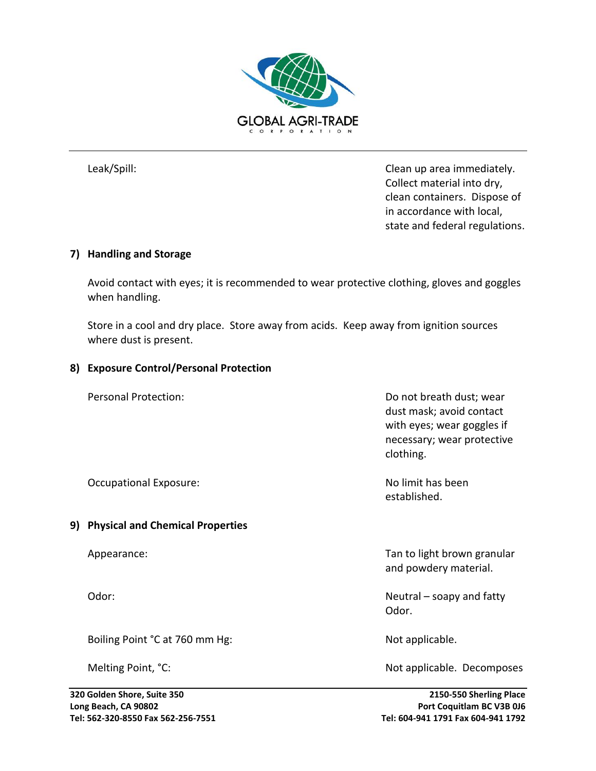

Leak/Spill: Leak/Spill: Clean up area immediately. Collect material into dry, clean containers. Dispose of in accordance with local, state and federal regulations.

#### **7) Handling and Storage**

Avoid contact with eyes; it is recommended to wear protective clothing, gloves and goggles when handling.

Store in a cool and dry place. Store away from acids. Keep away from ignition sources where dust is present.

#### **8) Exposure Control/Personal Protection**

Personal Protection:  $\blacksquare$ dust mask; avoid contact with eyes; wear goggles if necessary; wear protective clothing.

Occupational Exposure: No limit has been

#### **9) Physical and Chemical Properties**

Boiling Point °C at 760 mm Hg: Not applicable.

established.

Appearance: Tan to light brown granular and the state of the Tan to light brown granular and powdery material.

Odor: Neutral – soapy and fatty Odor.

Melting Point, °C: Not applicable. Decomposes

**320 Golden Shore, Suite 350 2150-550 Sherling Place Long Beach, CA 90802 Port Coquitlam BC V3B 0J6 Tel: 562-320-8550 Fax 562-256-7551 Tel: 604-941 1791 Fax 604-941 1792**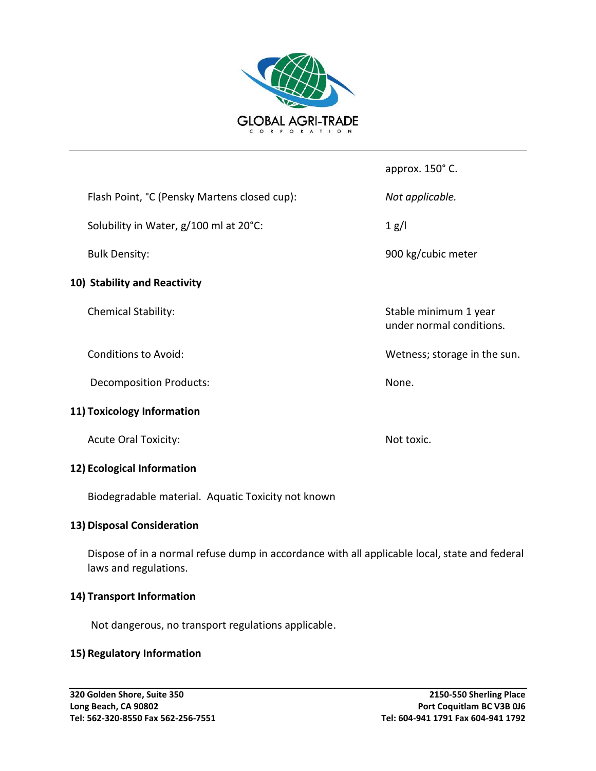

Flash Point, °C (Pensky Martens closed cup): *Not applicable.*

Solubility in Water,  $g/100$  ml at  $20^{\circ}$ C: 1 g/l

#### **10) Stability and Reactivity**

Decomposition Products: None.

#### **11) Toxicology Information**

Acute Oral Toxicity: Not toxic.

#### **12) Ecological Information**

Biodegradable material. Aquatic Toxicity not known

#### **13) Disposal Consideration**

Dispose of in a normal refuse dump in accordance with all applicable local, state and federal laws and regulations.

#### **14) Transport Information**

Not dangerous, no transport regulations applicable.

#### **15) Regulatory Information**

approx. 150° C.

Bulk Density: 900 kg/cubic meter

Chemical Stability: Stable minimum 1 year under normal conditions.

Conditions to Avoid: The sun conditions to Avoid: The sun. Wetness; storage in the sun.